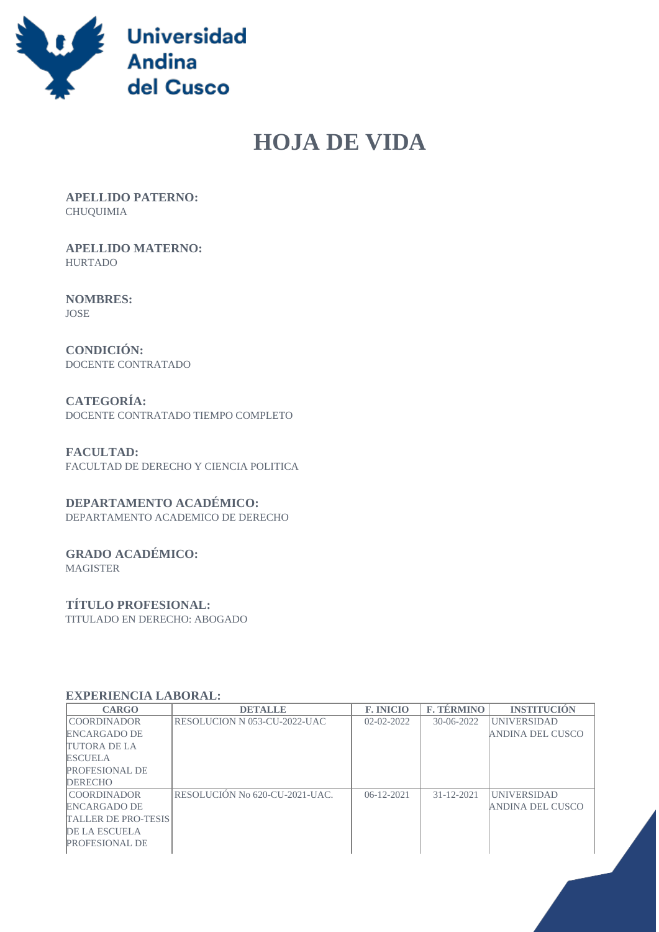

# **HOJA DE VIDA**

 **APELLIDO PATERNO:** CHUQUIMIA

 **APELLIDO MATERNO:** HURTADO

 **NOMBRES:** JOSE

 **CONDICIÓN:** DOCENTE CONTRATADO

 **CATEGORÍA:** DOCENTE CONTRATADO TIEMPO COMPLETO

 **FACULTAD:** FACULTAD DE DERECHO Y CIENCIA POLITICA

## **DEPARTAMENTO ACADÉMICO:**

DEPARTAMENTO ACADEMICO DE DERECHO

# **GRADO ACADÉMICO:**

MAGISTER

#### **TÍTULO PROFESIONAL:**

TITULADO EN DERECHO: ABOGADO

#### **EXPERIENCIA LABORAL:**

| <b>CARGO</b>               | <b>DETALLE</b>                 | <b>F. INICIO</b> | <b>F. TÉRMINO</b> | <b>INSTITUCION</b>      |
|----------------------------|--------------------------------|------------------|-------------------|-------------------------|
| <b>COORDINADOR</b>         | RESOLUCION N 053-CU-2022-UAC   | $02 - 02 - 2022$ | $30-06-2022$      | <b>UNIVERSIDAD</b>      |
| <b>ENCARGADO DE</b>        |                                |                  |                   | ANDINA DEL CUSCO        |
| <b>TUTORA DE LA</b>        |                                |                  |                   |                         |
| <b>ESCUELA</b>             |                                |                  |                   |                         |
| <b>PROFESIONAL DE</b>      |                                |                  |                   |                         |
| <b>DERECHO</b>             |                                |                  |                   |                         |
| <b>COORDINADOR</b>         | RESOLUCIÓN No 620-CU-2021-UAC. | $06 - 12 - 2021$ | $31 - 12 - 2021$  | <b>UNIVERSIDAD</b>      |
| <b>ENCARGADO DE</b>        |                                |                  |                   | <b>ANDINA DEL CUSCO</b> |
| <b>TALLER DE PRO-TESIS</b> |                                |                  |                   |                         |
| <b>DE LA ESCUELA</b>       |                                |                  |                   |                         |
| <b>PROFESIONAL DE</b>      |                                |                  |                   |                         |
|                            |                                |                  |                   |                         |